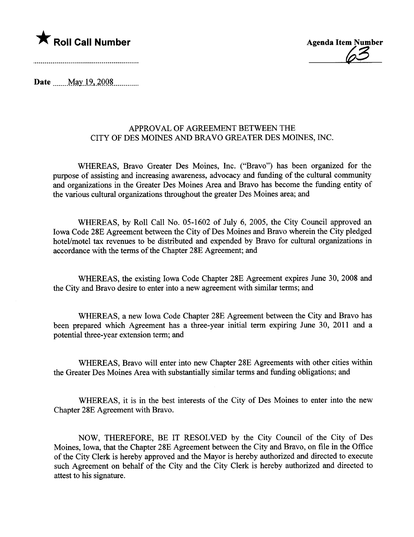



Date  $\text{May } 19,2008$ 

# APPROVAL OF AGREEMENT BETWEEN THE CITY OF DES MOINES AND BRAVO GREATER DES MOINES, INC.

WHEREAS, Bravo Greater Des Moines, Inc. ("Bravo") has been organized for the purose of assisting and increasing awareness, advocacy and fuding of the cultual community and organizations in the Greater Des Moines Area and Bravo has become the funding entity of the various cultural organizations throughout the greater Des Moines area; and

WHEREAS, by Roll Call No. 05-1602 of July 6, 2005, the City Council approved an Iowa Code 28E Agreement between the City of Des Moines and Bravo wherein the City pledged hotel/motel tax revenues to be distributed and expended by Bravo for cultural organizations in accordance with the terms of the Chapter 28E Agreement; and

WHEREAS, the existing Iowa Code Chapter 28E Agreement expires June 30, 2008 and the City and Bravo desire to enter into a new agreement with similar terms; and

WHEREAS, a new Iowa Code Chapter 28E Agreement between the City and Bravo has been prepared which Agreement has a three-year initial term expiring June 30, 2011 and a potential thee-year extension term; and

WHEREAS, Bravo will enter into new Chapter 28E Agreements with other cities within the Greater Des Moines Area with substantially similar terms and funding obligations; and

WHEREAS, it is in the best interests of the City of Des Moines to enter into the new Chapter 28E Agreement with Bravo.

NOW, THEREFORE, BE IT RESOLVED by the City Council of the City of Des Moines, Iowa, that the Chapter 28E Agreement between the City and Bravo, on file in the Office of the City Clerk is hereby approved and the Mayor is hereby authonzed and directed to execute such Agreement on behalf of the City and the City Clerk is hereby authorized and directed to attest to his signature.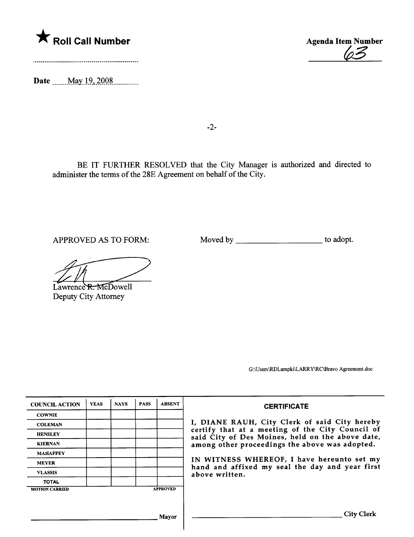

Date may 19.2008



-2-

BE IT FURTHER RESOLVED that the City Manager is authorized and directed to administer the terms of the 28E Agreement on behalf of the City.

APPROVED AS TO FORM: Moved by \_\_\_\_\_\_\_\_\_\_\_\_\_\_\_\_\_\_\_\_\_\_ to adopt.

Lawrence R. McDowell Deputy City Attorney

G:\Users\RLampki\LAR Y\C\Bravo Agreement.doc

| <b>CERTIFICATE</b>                                                                                                                                                                                                                                                                                                         | <b>ABSENT</b>   | <b>PASS</b> | <b>NAYS</b> | <b>YEAS</b> | <b>COUNCIL ACTION</b> |
|----------------------------------------------------------------------------------------------------------------------------------------------------------------------------------------------------------------------------------------------------------------------------------------------------------------------------|-----------------|-------------|-------------|-------------|-----------------------|
|                                                                                                                                                                                                                                                                                                                            |                 |             |             |             | <b>COWNIE</b>         |
| I, DIANE RAUH, City Clerk of said City hereby<br>certify that at a meeting of the City Council of<br>said City of Des Moines, held on the above date,<br>among other proceedings the above was adopted.<br>IN WITNESS WHEREOF, I have hereunto set my<br>hand and affixed my seal the day and year first<br>above written. |                 |             |             |             | <b>COLEMAN</b>        |
|                                                                                                                                                                                                                                                                                                                            |                 |             |             |             | <b>HENSLEY</b>        |
|                                                                                                                                                                                                                                                                                                                            |                 |             |             |             | <b>KIERNAN</b>        |
|                                                                                                                                                                                                                                                                                                                            |                 |             |             |             | <b>MAHAFFEY</b>       |
|                                                                                                                                                                                                                                                                                                                            |                 |             |             |             | <b>MEYER</b>          |
|                                                                                                                                                                                                                                                                                                                            |                 |             |             |             | <b>VLASSIS</b>        |
|                                                                                                                                                                                                                                                                                                                            |                 |             |             |             | <b>TOTAL</b>          |
|                                                                                                                                                                                                                                                                                                                            | <b>APPROVED</b> |             |             |             | <b>MOTION CARRIED</b> |
|                                                                                                                                                                                                                                                                                                                            |                 |             |             |             |                       |
|                                                                                                                                                                                                                                                                                                                            |                 |             |             |             |                       |
| City Clerk                                                                                                                                                                                                                                                                                                                 | Mavor           |             |             |             |                       |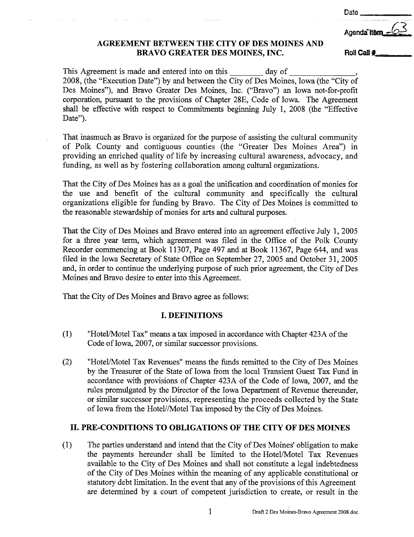Date

# AGREEMENT BETWEEN THE CITY OF DES MOINES AND BRAVO GREATER DES MOINES, INC. Roll Call #

Agenda<sup>T</sup>ite

This Agreement is made and entered into on this day of 2008, (the "Execution Date") by and between the City of Des Moines, Iowa (the "City of Des Moines"), and Bravo Greater Des Moines, Inc. ("Bravo") an Iowa not- for-profit corporation, pursuat to the provisions of Chapter 28E, Code of Iowa. The Agreement shall be effective with respect to Commitments beginning July 1, 2008 (the "Effective Date").

That inasmuch as Bravo is organized for the purpose of assisting the cultural community of Polk County and contiguous counties (the "Greater Des Moines Area") in providing an enriched quality of life by increasing cultural awareness, advocacy, and funding, as well as by fostering collaboration among cultural organizations.

That the City of Des Moines has as a goal the unfication and coordination of monies for the use and benefit of the cultural community and specifically the cultural organizations eligible for funding by Bravo. The City of Des Moines is committed to the reasonable stewardship of monies for arts and cultural purposes.

That the City of Des Moines and Bravo entered into an agreement effective July 1, 2005 for a three year term, which agreement was filed in the Office of the Polk County Recorder commencing at Book 11307, Page 497 and at Book 11367, Page 644, and was filed in the Iowa Secretary of State Office on September 27, 2005 and October 31, 2005 and, in order to continue the underlying purpose of such prior agreement, the City of Des Moines and Bravo desire to enter into this Agreement.

That the City of Des Moines and Bravo agree as follows:

## I. DEFINITIONS

- $(1)$  "Hotel/Motel Tax" means a tax imposed in accordance with Chapter 423A of the Code of Iowa, 2007, or simlar successor provisions.
- (2) "Hotel/Motel Tax Revenues" means the funds remitted to the City of Des Moines by the Treasurer of the State of Iowa from the local Transient Guest Tax Fund in accordance with provisions of Chapter 423A of the Code of Iowa, 2007, and the rules promulgated by the Director of the Iowa Department of Revenue thereunder, or simlar successor provisions, representing the proceeds collected by the State of Iowa from the Hotel//Motel Tax imposed by the City of Des Moines.

# II. PRE-CONDITIONS TO OBLIGATIONS OF THE CITY OF DES MOINES

(1) The paries understad and intend that the City of Des Moines' obligation to make the payments hereunder shall be limited to the Hotel/Motel Tax Revenues available to the City of Des Moines and shall not constitute a legal indebtedness of the City of Des Moines within the meaning of any applicable constitutional or statutory debt limtation. In the event that any of the provisions of this Agreement are determined by a court of competent jurisdiction to create, or result in the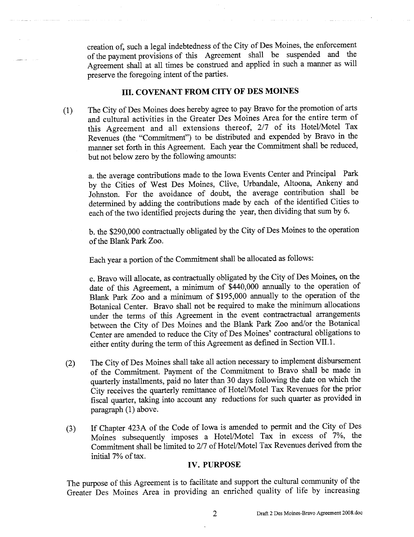creation of, such a legal indebtedness of the City of Des Moines, the enforcement of the payment provisions of ths Agreement shall be suspended and the Agreement shall at all times be constred and applied in such a maner as will preserve the foregoing intent of the paries.

# III. COVENANT FROM CITY OF DES MOINES

(1) The City of Des Moines does hereby agree to pay Bravo for the promotion and cultural activities in the Greater Des Moines Area for the entire term of this Agreement and all extensions thereof, 2/7 of its Hotel/Motel Tax Revenues (the "Commtment") to be distnbuted and expended by Bravo in the manner set forth in this Agreement. Each year the Commitment shall be reduced, but not below zero by the following amounts:

a. the average contributions made to the Iowa Events Center and Principal Park by the Cities of West Des Moines, Clive, Urbandale, Altoona, Ankeny and Johnston. For the avoidance of doubt, the average contribution shall be determined by adding the contributions made by each of the identified Cities to each of the two identified projects during the year, then dividing that sum by 6.

b. the \$290,000 contractuly obligated by the City of Des Moines to the operation of the Blank Park Zoo.

Each year a portion of the Commitment shall be allocated as follows:

c. Bravo will allocate, as contractually obligated by the City of Des Moines, on the date of this Agreement, a minimum of \$440,000 annually to the operation of Blank Park Zoo and a minimum of \$195,000 annually to the operation of the Botanical Center. Bravo shall not be required to make the minimum allocations under the terms of this Agreement in the event contractractual arrangements between the City of Des Moines and the Blank Park Zoo and/or the Botanical Center are amended to reduce the City of Des Moines' contractual obligations to either entity during the term of this Agreement as defined in Section VII.1.

- (2) The City of Des Moines shall take all action necessary to implement disbursement of the Commtment. Payment of the Commitment to Bravo shall be made in quarterly installments, paid no later than 30 days following the date on which the City receives the quarterly remittance of Hotel/Motel Tax Revenues for the prior fiscal quarter, taking into account any reductions for such quarter as provided in paragraph (1) above.
- (3) If Chapter 423A of the Code of Iowa is amended to permt and the City of Des Moines subsequently imposes a Hotel/Motel Tax in excess of 7%, the Commitment shall be limited to 2/7 of Hotel/Motel Tax Revenues derived from the initial 7% of tax.

## IV. PURPOSE

The purpose of this Agreement is to facilitate and support the cultural community of the Greater Des Moines Area in providing an enriched quality of life by increasing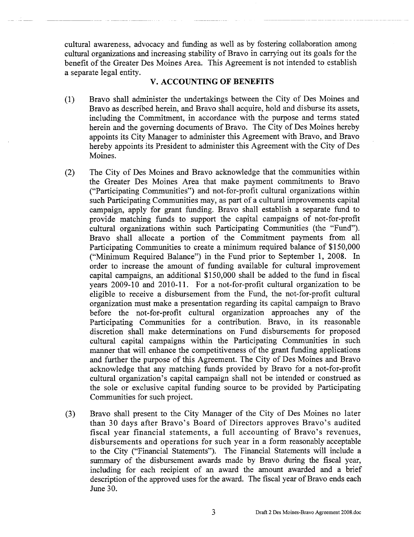cultual awareness, advocacy and fuding as well as by fostenng collaboration among cultural organizations and increasing stability of Bravo in carrying out its goals for the benefit of the Greater Des Moines Area. This Agreement is not intended to establish a separate legal entity.

#### v. ACCOUNTING OF BENEFITS

- (1) Bravo shall administer the undertakings between the City of Des Moines and Bravo as descnbed herein, and Bravo shall acquire, hold and disburse its assets, including the Commitment, in accordance with the purpose and terms stated herein and the governing documents of Bravo. The City of Des Moines hereby appoints its City Manager to administer this Agreement with Bravo, and Bravo hereby appoints its President to administer this Agreement with the City of Des Moines.
- (2) The City of Des Moines and Bravo acknowledge that the communities within the Greater Des Moines Area that make payment commitments to Bravo ("Paricipating Communties") and not-for-profit cultural organzations within such Participating Communities may, as part of a cultural improvements capital campaign, apply for grant funding. Bravo shall establish a separate fund to provide matching fuds to support the capital campaigns of not-for-profit cultural organizations within such Participating Communities (the "Fund"). Bravo shall allocate a portion of the Commitment payments from all Paricipating Communties to create a minimum required balance of \$150,000 ("Minimum Required Balance") in the Fund prior to September 1, 2008. In order to increase the amount of fuding available for cultural improvement capital campaigns, an additional \$150,000 shall be added to the fud in fiscal years 2009-10 and 2010-11. For a not-for-profit cultural organzation to be eligible to receive a disbursement from the Fund, the not-for-profit cultural organization must make a presentation regarding its capital campaign to Bravo before the not-for-profit cultural organization approaches any of the Participating Communities for a contribution. Bravo, in its reasonable discretion shall make determinations on Fund disbursements for proposed cultural capital campaigns within the Participating Communities in such manner that will enhance the competitiveness of the grant funding applications and furher the purpose of this Agreement. The City of Des Moines and Bravo acknowledge that any matching fuds provided by Bravo for a not-for-profit cultural organization's capital campaign shall not be intended or construed as the sole or exclusive capital funding source to be provided by Paricipating Communities for such project.
- (3) Bravo shall present to the City Manager of the City of Des Moines no later than 30 days after Bravo's Board of Directors approves Bravo's audited fiscal year financial statements, a full accounting of Bravo's revenues, disbursements and operations for such year in a form reasonably acceptable to the City ("Financial Statements"). The Financial Statements will include a summary of the disbursement awards made by Bravo during the fiscal year, including for each recipient of an award the amount awarded and a brief description of the approved uses for the award. The fiscal year of Bravo ends each June 30.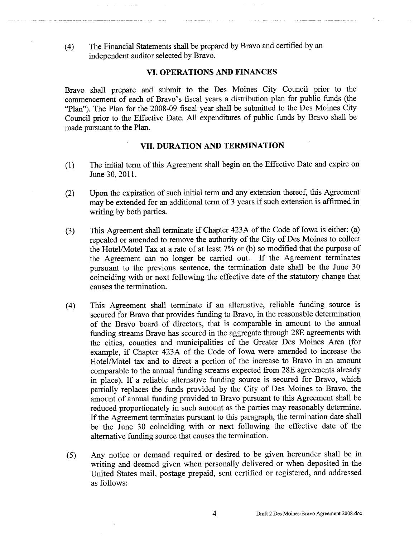(4) The Financial Statements shall be prepared by Bravo and certified by an independent auditor selected by Bravo.

#### VI. OPERATIONS AND FINANCES

Bravo shall prepare and submit to the Des Moines City Council prior to the commencement of each of Bravo's fiscal years a distribution plan for public funds (the "Plan"). The Plan for the 2008-09 fiscal year shall be submitted to the Des Moines City Council prior to the Effective Date. All expenditures of public funds by Bravo shall be made pursuant to the Plan.

## VII. DURATION AND TERMINATION

- (1) The intial term of ths Agreement shall begin on the Effective Date and expire on June 30, 2011.
- (2) Upon the expiration of such initial term and any extension thereof, this Agreement may be extended for an additional term of 3 years if such extension is affrmed in writing by both paries.
- (3) This Agreement shall terminate if Chapter 423A of the Code of Iowa is either: (a) repealed or amended to remove the authonty of the City of Des Moines to collect the Hotel/Motel Tax at a rate of at least 7% or (b) so modified that the purpose of the Agreement can no longer be carried out. If the Agreement terminates pursuant to the previous sentence, the termination date shall be the June 30 coinciding with or next following the effective date of the statutory change that causes the termination.
- (4) This Agreement shall terminate if an alternative, reliable funding source is secured for Bravo that provides fuding to Bravo, in the reasonable determination of the Bravo board of directors, that is comparable in amount to the anual fuding streams Bravo has secured in the aggregate through 28E agreements with the cities, counties and muncipalities of the Greater Des Moines Area (for example, if Chapter 423A of the Code of Iowa were amended to increase the Hotel/Motel tax and to direct a portion of the increase to Bravo in an amount comparable to the anual fuding streams expected from 28E agreements already in place). If a reliable alternative fuding source is secured for Bravo, which parially replaces the fuds provided by the City of Des Moines to Bravo, the amount of annual funding provided to Bravo pursuant to this Agreement shall be reduced proportionately in such amount as the parties may reasonably determine. If the Agreement terminates pursuant to this paragraph, the termination date shall be the June 30 coincidig with or next following the effective date of the alternative fuding source that causes the termination.
- (5) Any notice or demand required or desired to be given hereunder shall be in writing and deemed given when personally delivered or when deposited in the United States mail, postage prepaid, sent certified or registered, and addressed as follows: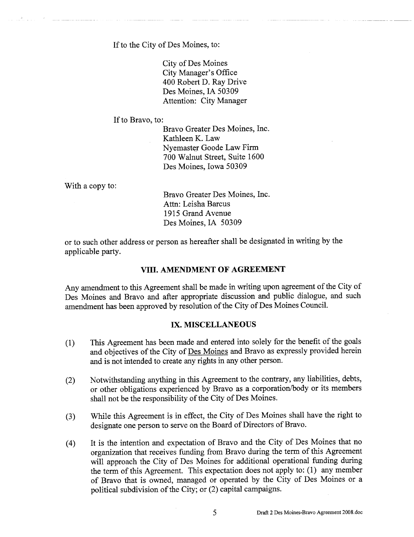If to the City of Des Moines, to:

City of Des Moines City Manager's Office 400 Robert D. Ray Drive Des Moines, IA 50309 Attention: City Manager

If to Bravo, to:

Bravo Greater Des Moines, Inc. Kathleen K. Law Nyemaster Goode Law Firm 700 Walnut Street, Suite 1600 Des Moines, Iowa 50309

With a copy to:

Bravo Greater Des Moines, Inc. Attn: Leisha Barcus 1915 Grand Avenue Des Moines, IA 50309

or to such other address or person as hereafter shall be designated in writing by the applicable party.

## VIII. AMENDMENT OF AGREEMENT

Any amendment to this Agreement shall be made in writing upon agreement of the City of Des Moines and Bravo and after appropriate discussion and public dialogue, and such amendment has been approved by resolution of the City of Des Moines CounciL.

#### IX. MISCELLANEOUS

- (1) This Agreement has been made and entered into solely for the benefit of the goals and objectives of the City of Des Moines and Bravo as expressly provided herein and is not intended to create any nghts in any other person.
- (2) Notwithstanding anything in this Agreement to the contrary, any liabilities, debts, or other obligations experienced by Bravo as a corporation/body or its members shall not be the responsibility of the City of Des Moines.
- (3) While this Agreement is in effect, the City of Des Moines shall have the right to designate one person to serve on the Board of Directors of Bravo.
- (4) It is the intention and expectation of Bravo and the City of Des Moines that no organization that receives funding from Bravo during the term of this Agreement will approach the City of Des Moines for additional operational funding during the term of this Agreement. This expectation does not apply to: (1) any member of Bravo that is owned, managed or operated by the City of Des Moines or a political subdivision of the City; or (2) capital campaigns.